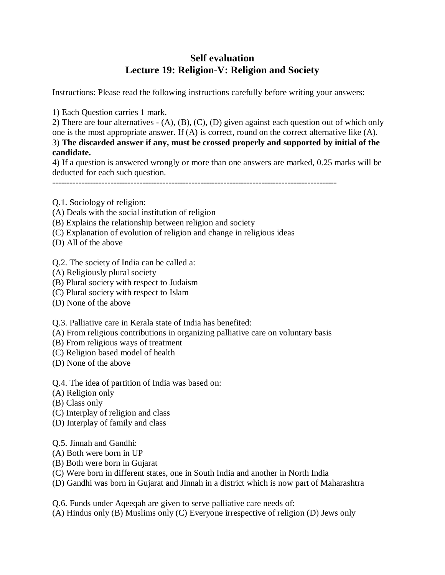## **Self evaluation Lecture 19: Religion-V: Religion and Society**

Instructions: Please read the following instructions carefully before writing your answers:

1) Each Question carries 1 mark.

2) There are four alternatives - (A), (B), (C), (D) given against each question out of which only one is the most appropriate answer. If (A) is correct, round on the correct alternative like (A). 3) **The discarded answer if any, must be crossed properly and supported by initial of the candidate.**

4) If a question is answered wrongly or more than one answers are marked, 0.25 marks will be deducted for each such question.

--------------------------------------------------------------------------------------------------

Q.1. Sociology of religion:

- (A) Deals with the social institution of religion
- (B) Explains the relationship between religion and society
- (C) Explanation of evolution of religion and change in religious ideas
- (D) All of the above
- Q.2. The society of India can be called a:
- (A) Religiously plural society
- (B) Plural society with respect to Judaism
- (C) Plural society with respect to Islam
- (D) None of the above

Q.3. Palliative care in Kerala state of India has benefited:

- (A) From religious contributions in organizing palliative care on voluntary basis
- (B) From religious ways of treatment
- (C) Religion based model of health
- (D) None of the above

Q.4. The idea of partition of India was based on:

- (A) Religion only
- (B) Class only
- (C) Interplay of religion and class
- (D) Interplay of family and class
- Q.5. Jinnah and Gandhi:
- (A) Both were born in UP
- (B) Both were born in Gujarat
- (C) Were born in different states, one in South India and another in North India
- (D) Gandhi was born in Gujarat and Jinnah in a district which is now part of Maharashtra

Q.6. Funds under Aqeeqah are given to serve palliative care needs of:

(A) Hindus only (B) Muslims only (C) Everyone irrespective of religion (D) Jews only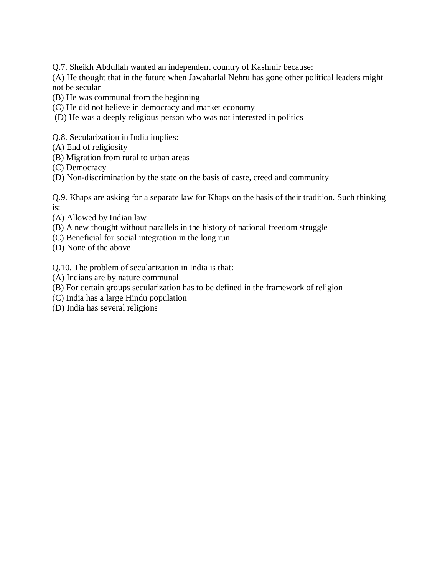Q.7. Sheikh Abdullah wanted an independent country of Kashmir because:

(A) He thought that in the future when Jawaharlal Nehru has gone other political leaders might not be secular

- (B) He was communal from the beginning
- (C) He did not believe in democracy and market economy
- (D) He was a deeply religious person who was not interested in politics

Q.8. Secularization in India implies:

- (A) End of religiosity
- (B) Migration from rural to urban areas
- (C) Democracy
- (D) Non-discrimination by the state on the basis of caste, creed and community

Q.9. Khaps are asking for a separate law for Khaps on the basis of their tradition. Such thinking is:

- (A) Allowed by Indian law
- (B) A new thought without parallels in the history of national freedom struggle
- (C) Beneficial for social integration in the long run
- (D) None of the above

Q.10. The problem of secularization in India is that:

- (A) Indians are by nature communal
- (B) For certain groups secularization has to be defined in the framework of religion
- (C) India has a large Hindu population
- (D) India has several religions